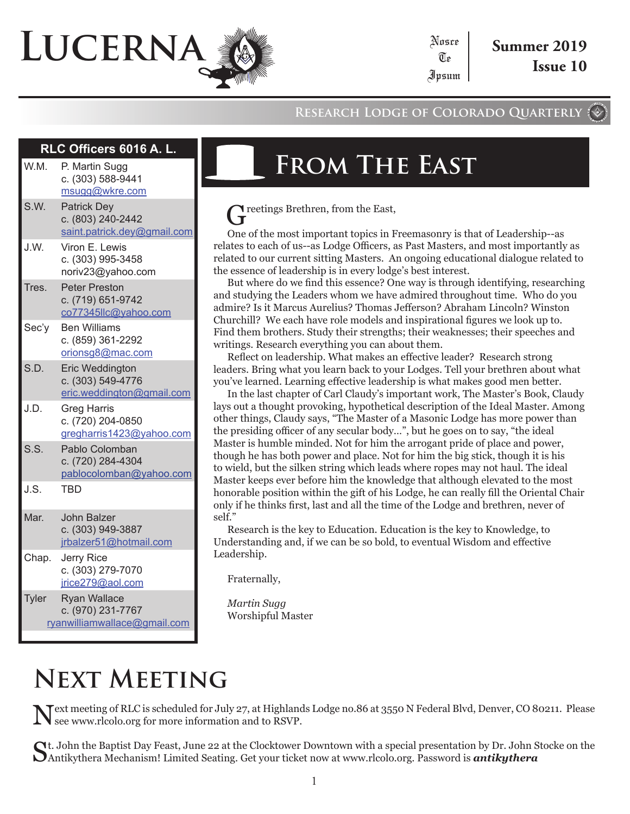# **Lucerna**

**RLC Officers 6016 A. L.**

#### **Research Lodge of Colorado Quarterly**

Te

| W.M.  | P. Martin Sugg<br>c. (303) 588-9441<br>msugg@wkre.com                    |
|-------|--------------------------------------------------------------------------|
| S.W.  | <b>Patrick Dey</b><br>c. (803) 240-2442<br>saint.patrick.dey@gmail.com   |
| J.W.  | Viron E. Lewis<br>c. (303) 995-3458<br>noriv23@yahoo.com                 |
| Tres. | <b>Peter Preston</b><br>c. (719) 651-9742<br>co77345llc@yahoo.com        |
| Sec'y | <b>Ben Williams</b><br>c. (859) 361-2292<br>orionsg8@mac.com             |
| S.D.  | Eric Weddington<br>c. (303) 549-4776<br>eric.weddington@gmail.com        |
| J.D.  | <b>Greg Harris</b><br>c. (720) 204-0850<br>gregharris1423@yahoo.com      |
| S.S.  | Pablo Colomban<br>c. (720) 284-4304<br>pablocolomban@yahoo.com           |
| J.S.  | <b>TBD</b>                                                               |
| Mar.  | <b>John Balzer</b><br>c. (303) 949-3887<br>jrbalzer51@hotmail.com        |
| Chap. | Jerry Rice<br>c. (303) 279-7070<br>jrice279@aol.com                      |
| Tyler | <b>Ryan Wallace</b><br>c. (970) 231-7767<br>ryanwilliamwallace@gmail.com |

# **From The East**

Treetings Brethren, from the East,

One of the most important topics in Freemasonry is that of Leadership--as relates to each of us--as Lodge Officers, as Past Masters, and most importantly as related to our current sitting Masters. An ongoing educational dialogue related to the essence of leadership is in every lodge's best interest.

But where do we find this essence? One way is through identifying, researching and studying the Leaders whom we have admired throughout time. Who do you admire? Is it Marcus Aurelius? Thomas Jefferson? Abraham Lincoln? Winston Churchill? We each have role models and inspirational figures we look up to. Find them brothers. Study their strengths; their weaknesses; their speeches and writings. Research everything you can about them.

Reflect on leadership. What makes an effective leader? Research strong leaders. Bring what you learn back to your Lodges. Tell your brethren about what you've learned. Learning effective leadership is what makes good men better.

In the last chapter of Carl Claudy's important work, The Master's Book, Claudy lays out a thought provoking, hypothetical description of the Ideal Master. Among other things, Claudy says, "The Master of a Masonic Lodge has more power than the presiding officer of any secular body…", but he goes on to say, "the ideal Master is humble minded. Not for him the arrogant pride of place and power, though he has both power and place. Not for him the big stick, though it is his to wield, but the silken string which leads where ropes may not haul. The ideal Master keeps ever before him the knowledge that although elevated to the most honorable position within the gift of his Lodge, he can really fill the Oriental Chair only if he thinks first, last and all the time of the Lodge and brethren, never of self."

Research is the key to Education. Education is the key to Knowledge, to Understanding and, if we can be so bold, to eventual Wisdom and effective Leadership.

Fraternally,

*Martin Sugg* Worshipful Master

# **Next Meeting**

Next meeting of RLC is scheduled for July 27, at Highlands Lodge no.86 at 3550 N Federal Blvd, Denver, CO 80211. Please see www.rlcolo.org for more information and to RSVP.

Ct. John the Baptist Day Feast, June 22 at the Clocktower Downtown with a special presentation by Dr. John Stocke on the Antikythera Mechanism! Limited Seating. Get your ticket now at www.rlcolo.org. Password is *antikythera*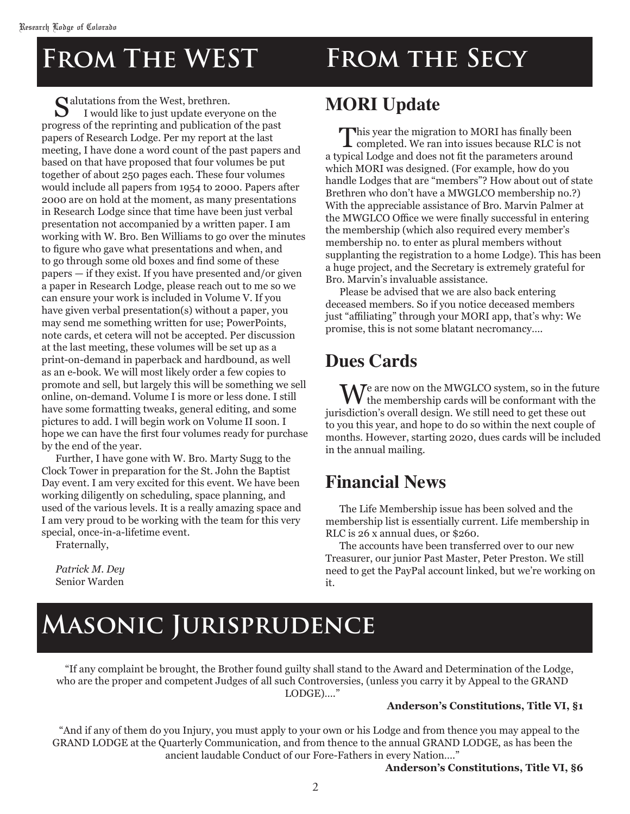# **From The WEST From the Secy**

Salutations from the West, brethren. I would like to just update everyone on the progress of the reprinting and publication of the past papers of Research Lodge. Per my report at the last meeting, I have done a word count of the past papers and based on that have proposed that four volumes be put together of about 250 pages each. These four volumes would include all papers from 1954 to 2000. Papers after 2000 are on hold at the moment, as many presentations in Research Lodge since that time have been just verbal presentation not accompanied by a written paper. I am working with W. Bro. Ben Williams to go over the minutes to figure who gave what presentations and when, and to go through some old boxes and find some of these papers — if they exist. If you have presented and/or given a paper in Research Lodge, please reach out to me so we can ensure your work is included in Volume V. If you have given verbal presentation(s) without a paper, you may send me something written for use; PowerPoints, note cards, et cetera will not be accepted. Per discussion at the last meeting, these volumes will be set up as a print-on-demand in paperback and hardbound, as well as an e-book. We will most likely order a few copies to promote and sell, but largely this will be something we sell online, on-demand. Volume I is more or less done. I still have some formatting tweaks, general editing, and some pictures to add. I will begin work on Volume II soon. I hope we can have the first four volumes ready for purchase by the end of the year.

Further, I have gone with W. Bro. Marty Sugg to the Clock Tower in preparation for the St. John the Baptist Day event. I am very excited for this event. We have been working diligently on scheduling, space planning, and used of the various levels. It is a really amazing space and I am very proud to be working with the team for this very special, once-in-a-lifetime event.

Fraternally,

*Patrick M. Dey* Senior Warden

### **MORI Update**

This year the migration to MORI has finally been<br>completed. We ran into issues because RLC is not a typical Lodge and does not fit the parameters around which MORI was designed. (For example, how do you handle Lodges that are "members"? How about out of state Brethren who don't have a MWGLCO membership no.?) With the appreciable assistance of Bro. Marvin Palmer at the MWGLCO Office we were finally successful in entering the membership (which also required every member's membership no. to enter as plural members without supplanting the registration to a home Lodge). This has been a huge project, and the Secretary is extremely grateful for Bro. Marvin's invaluable assistance.

Please be advised that we are also back entering deceased members. So if you notice deceased members just "affiliating" through your MORI app, that's why: We promise, this is not some blatant necromancy….

#### **Dues Cards**

We are now on the MWGLCO system, so in the future<br>the membership cards will be conformant with the jurisdiction's overall design. We still need to get these out to you this year, and hope to do so within the next couple of months. However, starting 2020, dues cards will be included in the annual mailing.

#### **Financial News**

The Life Membership issue has been solved and the membership list is essentially current. Life membership in RLC is 26 x annual dues, or \$260.

The accounts have been transferred over to our new Treasurer, our junior Past Master, Peter Preston. We still need to get the PayPal account linked, but we're working on it.

# **Masonic Jurisprudence**

"If any complaint be brought, the Brother found guilty shall stand to the Award and Determination of the Lodge, who are the proper and competent Judges of all such Controversies, (unless you carry it by Appeal to the GRAND LODGE)…."

#### **Anderson's Constitutions, Title VI, §1**

"And if any of them do you Injury, you must apply to your own or his Lodge and from thence you may appeal to the GRAND LODGE at the Quarterly Communication, and from thence to the annual GRAND LODGE, as has been the ancient laudable Conduct of our Fore-Fathers in every Nation…."

#### **Anderson's Constitutions, Title VI, §6**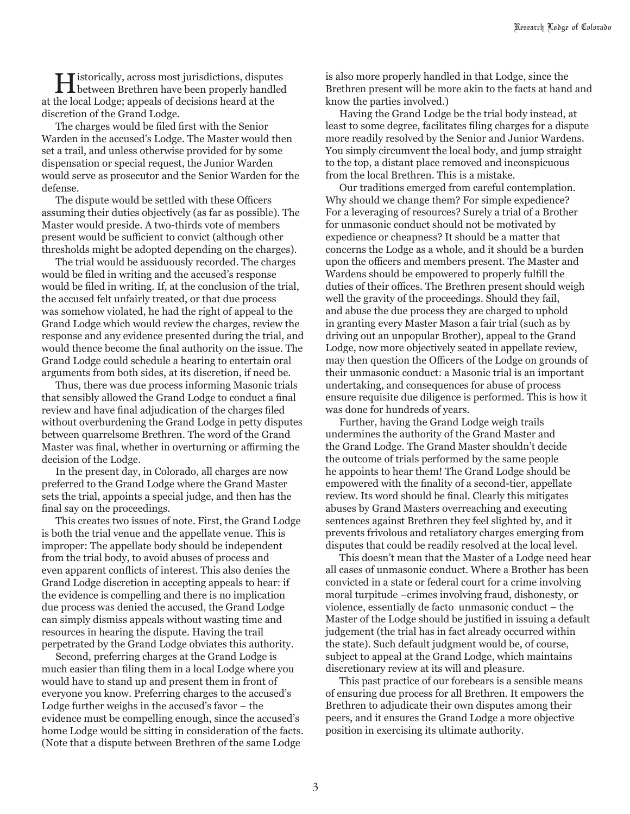Historically, across most jurisdictions, disputes between Brethren have been properly handled at the local Lodge; appeals of decisions heard at the discretion of the Grand Lodge.

The charges would be filed first with the Senior Warden in the accused's Lodge. The Master would then set a trail, and unless otherwise provided for by some dispensation or special request, the Junior Warden would serve as prosecutor and the Senior Warden for the defense.

The dispute would be settled with these Officers assuming their duties objectively (as far as possible). The Master would preside. A two-thirds vote of members present would be sufficient to convict (although other thresholds might be adopted depending on the charges).

The trial would be assiduously recorded. The charges would be filed in writing and the accused's response would be filed in writing. If, at the conclusion of the trial, the accused felt unfairly treated, or that due process was somehow violated, he had the right of appeal to the Grand Lodge which would review the charges, review the response and any evidence presented during the trial, and would thence become the final authority on the issue. The Grand Lodge could schedule a hearing to entertain oral arguments from both sides, at its discretion, if need be.

Thus, there was due process informing Masonic trials that sensibly allowed the Grand Lodge to conduct a final review and have final adjudication of the charges filed without overburdening the Grand Lodge in petty disputes between quarrelsome Brethren. The word of the Grand Master was final, whether in overturning or affirming the decision of the Lodge.

In the present day, in Colorado, all charges are now preferred to the Grand Lodge where the Grand Master sets the trial, appoints a special judge, and then has the final say on the proceedings.

This creates two issues of note. First, the Grand Lodge is both the trial venue and the appellate venue. This is improper: The appellate body should be independent from the trial body, to avoid abuses of process and even apparent conflicts of interest. This also denies the Grand Lodge discretion in accepting appeals to hear: if the evidence is compelling and there is no implication due process was denied the accused, the Grand Lodge can simply dismiss appeals without wasting time and resources in hearing the dispute. Having the trail perpetrated by the Grand Lodge obviates this authority.

Second, preferring charges at the Grand Lodge is much easier than filing them in a local Lodge where you would have to stand up and present them in front of everyone you know. Preferring charges to the accused's Lodge further weighs in the accused's favor – the evidence must be compelling enough, since the accused's home Lodge would be sitting in consideration of the facts. (Note that a dispute between Brethren of the same Lodge

is also more properly handled in that Lodge, since the Brethren present will be more akin to the facts at hand and know the parties involved.)

Having the Grand Lodge be the trial body instead, at least to some degree, facilitates filing charges for a dispute more readily resolved by the Senior and Junior Wardens. You simply circumvent the local body, and jump straight to the top, a distant place removed and inconspicuous from the local Brethren. This is a mistake.

Our traditions emerged from careful contemplation. Why should we change them? For simple expedience? For a leveraging of resources? Surely a trial of a Brother for unmasonic conduct should not be motivated by expedience or cheapness? It should be a matter that concerns the Lodge as a whole, and it should be a burden upon the officers and members present. The Master and Wardens should be empowered to properly fulfill the duties of their offices. The Brethren present should weigh well the gravity of the proceedings. Should they fail, and abuse the due process they are charged to uphold in granting every Master Mason a fair trial (such as by driving out an unpopular Brother), appeal to the Grand Lodge, now more objectively seated in appellate review, may then question the Officers of the Lodge on grounds of their unmasonic conduct: a Masonic trial is an important undertaking, and consequences for abuse of process ensure requisite due diligence is performed. This is how it was done for hundreds of years.

Further, having the Grand Lodge weigh trails undermines the authority of the Grand Master and the Grand Lodge. The Grand Master shouldn't decide the outcome of trials performed by the same people he appoints to hear them! The Grand Lodge should be empowered with the finality of a second-tier, appellate review. Its word should be final. Clearly this mitigates abuses by Grand Masters overreaching and executing sentences against Brethren they feel slighted by, and it prevents frivolous and retaliatory charges emerging from disputes that could be readily resolved at the local level.

This doesn't mean that the Master of a Lodge need hear all cases of unmasonic conduct. Where a Brother has been convicted in a state or federal court for a crime involving moral turpitude –crimes involving fraud, dishonesty, or violence, essentially de facto unmasonic conduct – the Master of the Lodge should be justified in issuing a default judgement (the trial has in fact already occurred within the state). Such default judgment would be, of course, subject to appeal at the Grand Lodge, which maintains discretionary review at its will and pleasure.

This past practice of our forebears is a sensible means of ensuring due process for all Brethren. It empowers the Brethren to adjudicate their own disputes among their peers, and it ensures the Grand Lodge a more objective position in exercising its ultimate authority.